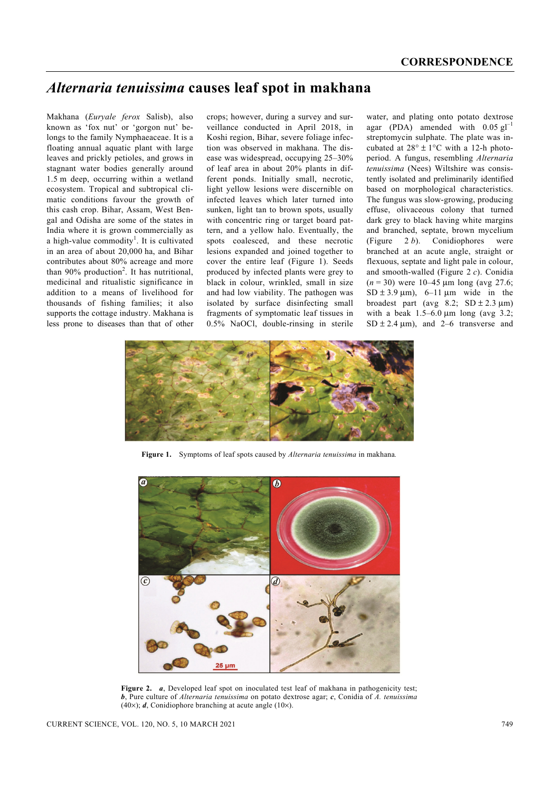## *Alternaria tenuissima* **causes leaf spot in makhana**

Makhana (*Euryale ferox* Salisb), also known as 'fox nut' or 'gorgon nut' belongs to the family Nymphaeaceae. It is a floating annual aquatic plant with large leaves and prickly petioles, and grows in stagnant water bodies generally around 1.5 m deep, occurring within a wetland ecosystem. Tropical and subtropical climatic conditions favour the growth of this cash crop. Bihar, Assam, West Bengal and Odisha are some of the states in India where it is grown commercially as a high-value commodity<sup>1</sup>. It is cultivated in an area of about 20,000 ha, and Bihar contributes about 80% acreage and more than  $90\%$  production<sup>2</sup>. It has nutritional, medicinal and ritualistic significance in addition to a means of livelihood for thousands of fishing families; it also supports the cottage industry. Makhana is less prone to diseases than that of other crops; however, during a survey and surveillance conducted in April 2018, in Koshi region, Bihar, severe foliage infection was observed in makhana. The disease was widespread, occupying 25–30% of leaf area in about 20% plants in different ponds. Initially small, necrotic, light yellow lesions were discernible on infected leaves which later turned into sunken, light tan to brown spots, usually with concentric ring or target board pattern, and a yellow halo. Eventually, the spots coalesced, and these necrotic lesions expanded and joined together to cover the entire leaf (Figure 1). Seeds produced by infected plants were grey to black in colour, wrinkled, small in size and had low viability. The pathogen was isolated by surface disinfecting small fragments of symptomatic leaf tissues in 0.5% NaOCl, double-rinsing in sterile water, and plating onto potato dextrose agar (PDA) amended with  $0.05 \text{ g}l^{-1}$ streptomycin sulphate. The plate was incubated at  $28^{\circ} \pm 1^{\circ}$ C with a 12-h photoperiod. A fungus, resembling *Alternaria tenuissima* (Nees) Wiltshire was consistently isolated and preliminarily identified based on morphological characteristics. The fungus was slow-growing, producing effuse, olivaceous colony that turned dark grey to black having white margins and branched, septate, brown mycelium (Figure 2 *b*). Conidiophores were branched at an acute angle, straight or flexuous, septate and light pale in colour, and smooth-walled (Figure 2 *c*). Conidia  $(n = 30)$  were 10–45  $\mu$ m long (avg 27.6;  $SD \pm 3.9 \mu m$ ), 6–11  $\mu$ m wide in the broadest part (avg  $8.2$ ; SD  $\pm 2.3$  µm) with a beak  $1.5-6.0 \mu m$  long (avg 3.2;  $SD \pm 2.4 \mu m$ , and  $2-6$  transverse and



**Figure 1.** Symptoms of leaf spots caused by *Alternaria tenuissima* in makhana*.* 



**Figure 2.** *a*, Developed leaf spot on inoculated test leaf of makhana in pathogenicity test; *b*, Pure culture of *Alternaria tenuissima* on potato dextrose agar; *c*, Conidia of *A. tenuissima*  $(40\times)$ ; *d*, Conidiophore branching at acute angle (10×).